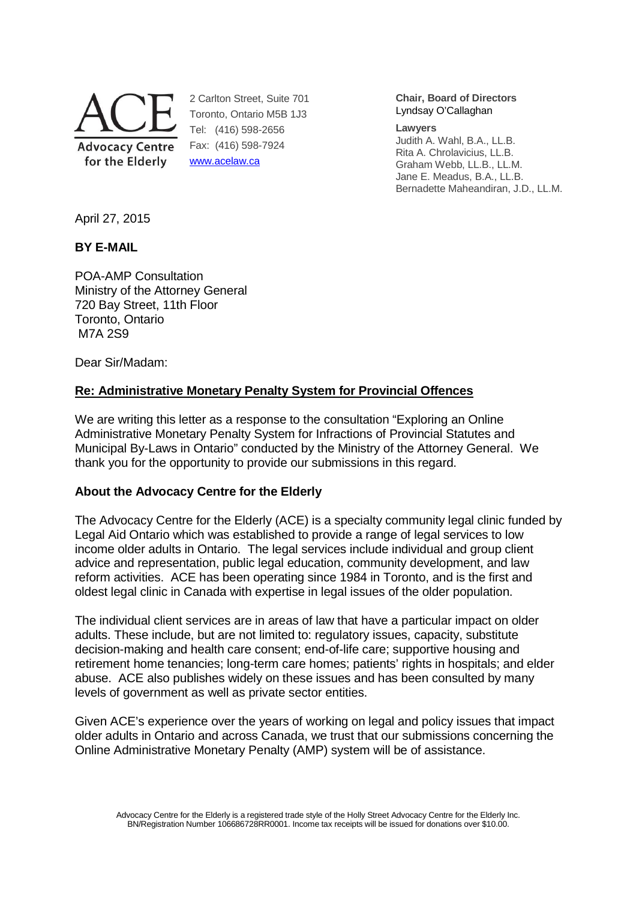

2 Carlton Street, Suite 701 Toronto, Ontario M5B 1J3 Tel: (416) 598-2656 Fax: (416) 598-7924 www.acelaw.ca

**Chair, Board of Directors** Lyndsay O'Callaghan

#### **Lawyers**

Judith A. Wahl, B.A., LL.B. Rita A. Chrolavicius, LL.B. Graham Webb, LL.B., LL.M. Jane E. Meadus, B.A., LL.B. Bernadette Maheandiran, J.D., LL.M.

April 27, 2015

## **BY E-MAIL**

POA-AMP Consultation Ministry of the Attorney General 720 Bay Street, 11th Floor Toronto, Ontario M7A 2S9

Dear Sir/Madam:

## **Re: Administrative Monetary Penalty System for Provincial Offences**

We are writing this letter as a response to the consultation "Exploring an Online Administrative Monetary Penalty System for Infractions of Provincial Statutes and Municipal By-Laws in Ontario" conducted by the Ministry of the Attorney General. We thank you for the opportunity to provide our submissions in this regard.

## **About the Advocacy Centre for the Elderly**

The Advocacy Centre for the Elderly (ACE) is a specialty community legal clinic funded by Legal Aid Ontario which was established to provide a range of legal services to low income older adults in Ontario. The legal services include individual and group client advice and representation, public legal education, community development, and law reform activities. ACE has been operating since 1984 in Toronto, and is the first and oldest legal clinic in Canada with expertise in legal issues of the older population.

The individual client services are in areas of law that have a particular impact on older adults. These include, but are not limited to: regulatory issues, capacity, substitute decision-making and health care consent; end-of-life care; supportive housing and retirement home tenancies; long-term care homes; patients' rights in hospitals; and elder abuse. ACE also publishes widely on these issues and has been consulted by many levels of government as well as private sector entities.

Given ACE's experience over the years of working on legal and policy issues that impact older adults in Ontario and across Canada, we trust that our submissions concerning the Online Administrative Monetary Penalty (AMP) system will be of assistance.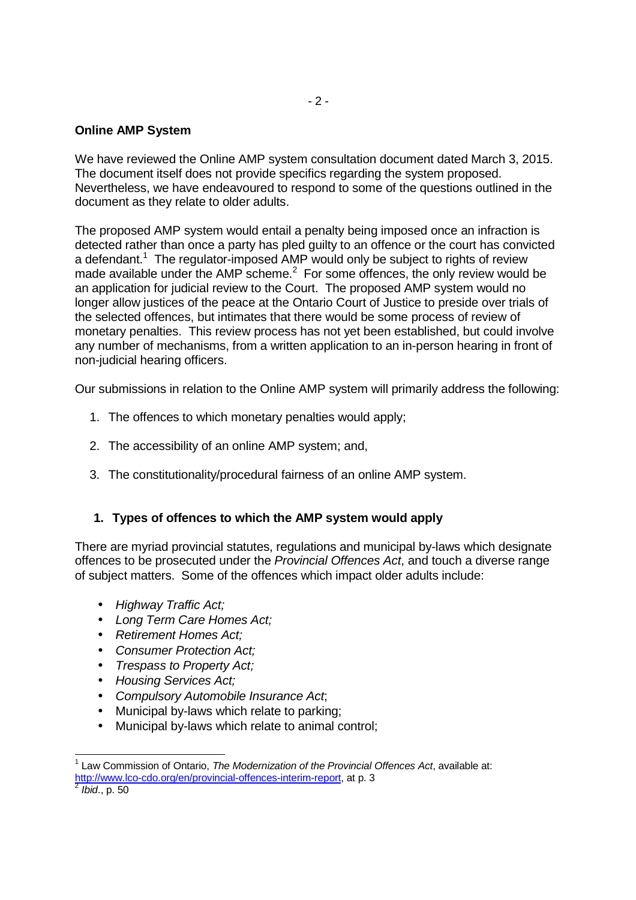## **Online AMP System**

We have reviewed the Online AMP system consultation document dated March 3, 2015. The document itself does not provide specifics regarding the system proposed. Nevertheless, we have endeavoured to respond to some of the questions outlined in the document as they relate to older adults.

The proposed AMP system would entail a penalty being imposed once an infraction is detected rather than once a party has pled guilty to an offence or the court has convicted a defendant.<sup>1</sup> The regulator-imposed AMP would only be subject to rights of review made available under the AMP scheme. $<sup>2</sup>$  For some offences, the only review would be</sup> an application for judicial review to the Court. The proposed AMP system would no longer allow justices of the peace at the Ontario Court of Justice to preside over trials of the selected offences, but intimates that there would be some process of review of monetary penalties. This review process has not yet been established, but could involve any number of mechanisms, from a written application to an in-person hearing in front of non-judicial hearing officers.

Our submissions in relation to the Online AMP system will primarily address the following:

- 1. The offences to which monetary penalties would apply;
- 2. The accessibility of an online AMP system; and,
- 3. The constitutionality/procedural fairness of an online AMP system.

## **1. Types of offences to which the AMP system would apply**

There are myriad provincial statutes, regulations and municipal by-laws which designate offences to be prosecuted under the Provincial Offences Act, and touch a diverse range of subject matters. Some of the offences which impact older adults include:

- Highway Traffic Act;
- Long Term Care Homes Act;
- Retirement Homes Act;
- Consumer Protection Act:
- Trespass to Property Act;
- Housing Services Act;

-

- Compulsory Automobile Insurance Act;
- Municipal by-laws which relate to parking;
- Municipal by-laws which relate to animal control;

 $1$  Law Commission of Ontario, The Modernization of the Provincial Offences Act, available at: http://www.lco-cdo.org/en/provincial-offences-interim-report, at p. 3 <sup>2</sup> Ibid., p. 50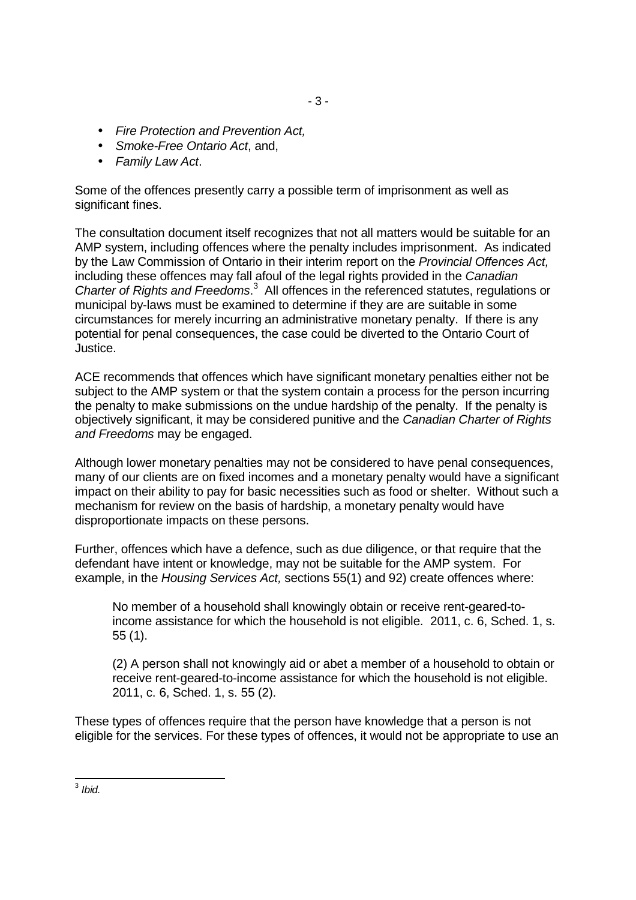- Fire Protection and Prevention Act,
- Smoke-Free Ontario Act, and,
- Family Law Act.

Some of the offences presently carry a possible term of imprisonment as well as significant fines.

The consultation document itself recognizes that not all matters would be suitable for an AMP system, including offences where the penalty includes imprisonment. As indicated by the Law Commission of Ontario in their interim report on the Provincial Offences Act, including these offences may fall afoul of the legal rights provided in the Canadian Charter of Rights and Freedoms.<sup>3</sup> All offences in the referenced statutes, regulations or municipal by-laws must be examined to determine if they are are suitable in some circumstances for merely incurring an administrative monetary penalty. If there is any potential for penal consequences, the case could be diverted to the Ontario Court of Justice.

ACE recommends that offences which have significant monetary penalties either not be subject to the AMP system or that the system contain a process for the person incurring the penalty to make submissions on the undue hardship of the penalty. If the penalty is objectively significant, it may be considered punitive and the Canadian Charter of Rights and Freedoms may be engaged.

Although lower monetary penalties may not be considered to have penal consequences, many of our clients are on fixed incomes and a monetary penalty would have a significant impact on their ability to pay for basic necessities such as food or shelter. Without such a mechanism for review on the basis of hardship, a monetary penalty would have disproportionate impacts on these persons.

Further, offences which have a defence, such as due diligence, or that require that the defendant have intent or knowledge, may not be suitable for the AMP system. For example, in the Housing Services Act, sections 55(1) and 92) create offences where:

No member of a household shall knowingly obtain or receive rent-geared-toincome assistance for which the household is not eligible. 2011, c. 6, Sched. 1, s. 55 (1).

(2) A person shall not knowingly aid or abet a member of a household to obtain or receive rent-geared-to-income assistance for which the household is not eligible. 2011, c. 6, Sched. 1, s. 55 (2).

These types of offences require that the person have knowledge that a person is not eligible for the services. For these types of offences, it would not be appropriate to use an

 $\frac{1}{3}$  Ibid.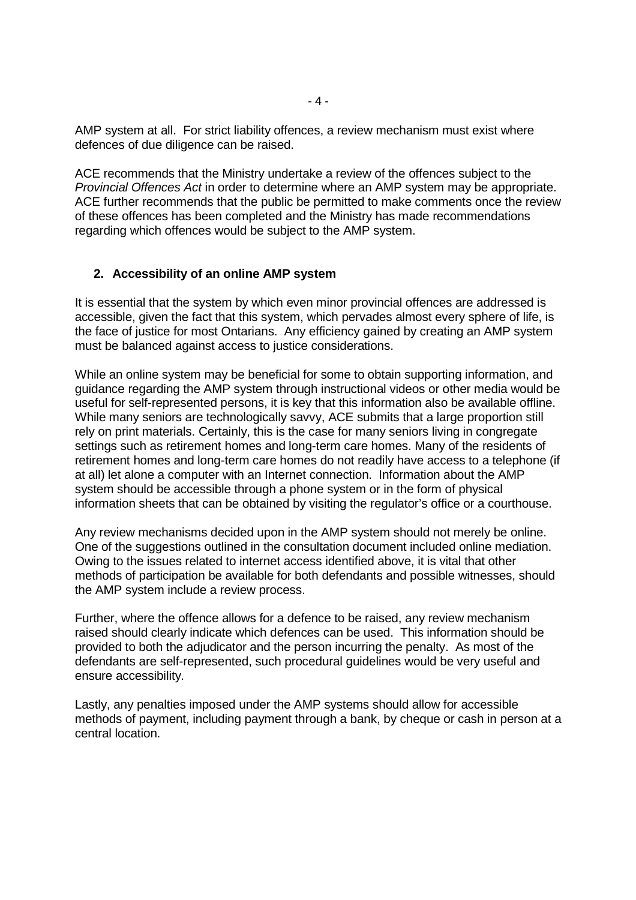AMP system at all. For strict liability offences, a review mechanism must exist where defences of due diligence can be raised.

ACE recommends that the Ministry undertake a review of the offences subject to the Provincial Offences Act in order to determine where an AMP system may be appropriate. ACE further recommends that the public be permitted to make comments once the review of these offences has been completed and the Ministry has made recommendations regarding which offences would be subject to the AMP system.

#### **2. Accessibility of an online AMP system**

It is essential that the system by which even minor provincial offences are addressed is accessible, given the fact that this system, which pervades almost every sphere of life, is the face of justice for most Ontarians. Any efficiency gained by creating an AMP system must be balanced against access to justice considerations.

While an online system may be beneficial for some to obtain supporting information, and guidance regarding the AMP system through instructional videos or other media would be useful for self-represented persons, it is key that this information also be available offline. While many seniors are technologically savvy, ACE submits that a large proportion still rely on print materials. Certainly, this is the case for many seniors living in congregate settings such as retirement homes and long-term care homes. Many of the residents of retirement homes and long-term care homes do not readily have access to a telephone (if at all) let alone a computer with an Internet connection. Information about the AMP system should be accessible through a phone system or in the form of physical information sheets that can be obtained by visiting the regulator's office or a courthouse.

Any review mechanisms decided upon in the AMP system should not merely be online. One of the suggestions outlined in the consultation document included online mediation. Owing to the issues related to internet access identified above, it is vital that other methods of participation be available for both defendants and possible witnesses, should the AMP system include a review process.

Further, where the offence allows for a defence to be raised, any review mechanism raised should clearly indicate which defences can be used. This information should be provided to both the adjudicator and the person incurring the penalty. As most of the defendants are self-represented, such procedural guidelines would be very useful and ensure accessibility.

Lastly, any penalties imposed under the AMP systems should allow for accessible methods of payment, including payment through a bank, by cheque or cash in person at a central location.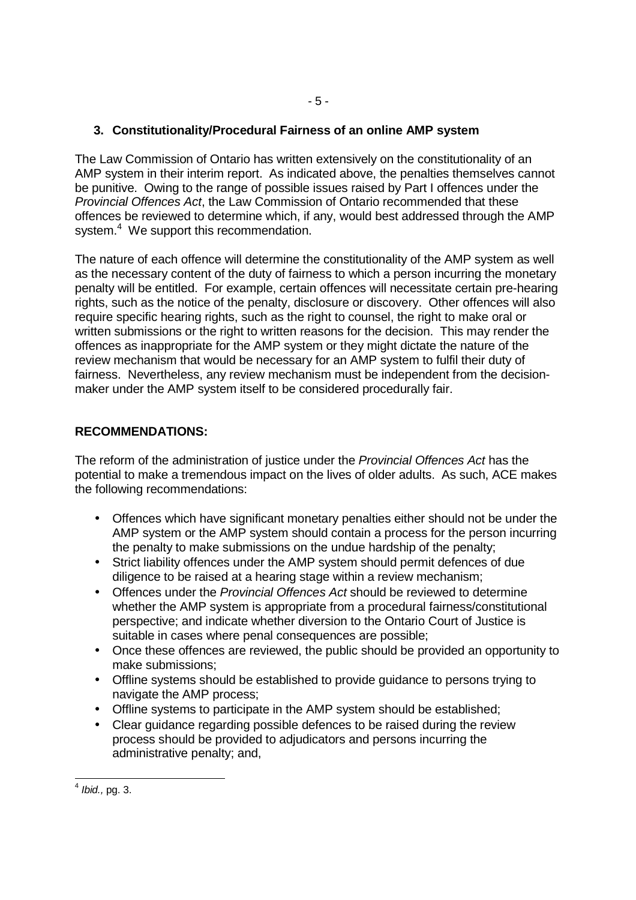# **3. Constitutionality/Procedural Fairness of an online AMP system**

The Law Commission of Ontario has written extensively on the constitutionality of an AMP system in their interim report. As indicated above, the penalties themselves cannot be punitive. Owing to the range of possible issues raised by Part I offences under the Provincial Offences Act, the Law Commission of Ontario recommended that these offences be reviewed to determine which, if any, would best addressed through the AMP system.<sup>4</sup> We support this recommendation.

The nature of each offence will determine the constitutionality of the AMP system as well as the necessary content of the duty of fairness to which a person incurring the monetary penalty will be entitled. For example, certain offences will necessitate certain pre-hearing rights, such as the notice of the penalty, disclosure or discovery. Other offences will also require specific hearing rights, such as the right to counsel, the right to make oral or written submissions or the right to written reasons for the decision. This may render the offences as inappropriate for the AMP system or they might dictate the nature of the review mechanism that would be necessary for an AMP system to fulfil their duty of fairness. Nevertheless, any review mechanism must be independent from the decisionmaker under the AMP system itself to be considered procedurally fair.

## **RECOMMENDATIONS:**

The reform of the administration of justice under the Provincial Offences Act has the potential to make a tremendous impact on the lives of older adults. As such, ACE makes the following recommendations:

- Offences which have significant monetary penalties either should not be under the AMP system or the AMP system should contain a process for the person incurring the penalty to make submissions on the undue hardship of the penalty;
- Strict liability offences under the AMP system should permit defences of due diligence to be raised at a hearing stage within a review mechanism;
- Offences under the *Provincial Offences Act* should be reviewed to determine whether the AMP system is appropriate from a procedural fairness/constitutional perspective; and indicate whether diversion to the Ontario Court of Justice is suitable in cases where penal consequences are possible;
- Once these offences are reviewed, the public should be provided an opportunity to make submissions;
- Offline systems should be established to provide guidance to persons trying to navigate the AMP process;
- Offline systems to participate in the AMP system should be established;
- Clear guidance regarding possible defences to be raised during the review process should be provided to adjudicators and persons incurring the administrative penalty; and,

 $\frac{4}{4}$  lbid., pg. 3.